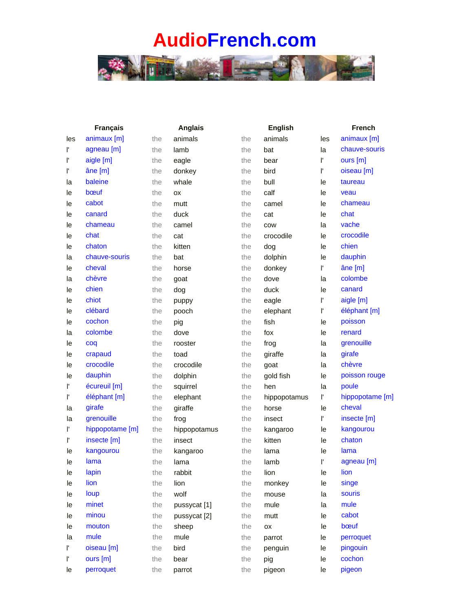

|     | <b>Français</b> |     | <b>Anglais</b> |     | <b>English</b> | <b>French</b> |                 |
|-----|-----------------|-----|----------------|-----|----------------|---------------|-----------------|
| les | animaux [m]     | the | animals        | the | animals        | les           | animaux [m]     |
| ľ   | agneau [m]      | the | lamb           | the | bat            | la            | chauve-souris   |
| Γ   | aigle [m]       | the | eagle          | the | bear           | Ľ             | ours [m]        |
| ľ   | âne [m]         | the | donkey         | the | bird           | ľ             | oiseau [m]      |
| la  | baleine         | the | whale          | the | bull           | le            | taureau         |
| le  | bœuf            | the | ОX             | the | calf           | le            | veau            |
| le  | cabot           | the | mutt           | the | camel          | le            | chameau         |
| le  | canard          | the | duck           | the | cat            | le            | chat            |
| le  | chameau         | the | camel          | the | COW            | la            | vache           |
| le  | chat            | the | cat            | the | crocodile      | le            | crocodile       |
| le  | chaton          | the | kitten         | the | dog            | le            | chien           |
| la  | chauve-souris   | the | bat            | the | dolphin        | le            | dauphin         |
| le  | cheval          | the | horse          | the | donkey         | ľ             | âne [m]         |
| la  | chèvre          | the | goat           | the | dove           | la            | colombe         |
| le  | chien           | the | dog            | the | duck           | le            | canard          |
| le  | chiot           | the | puppy          | the | eagle          | ľ             | aigle [m]       |
| le  | clébard         | the | pooch          | the | elephant       | Γ             | éléphant [m]    |
| le  | cochon          | the | pig            | the | fish           | le            | poisson         |
| la  | colombe         | the | dove           | the | fox            | le            | renard          |
| le  | coq             | the | rooster        | the | frog           | la            | grenouille      |
| le  | crapaud         | the | toad           | the | giraffe        | la            | girafe          |
| le  | crocodile       | the | crocodile      | the | goat           | la            | chèvre          |
| le  | dauphin         | the | dolphin        | the | gold fish      | le            | poisson rouge   |
| Γ   | écureuil [m]    | the | squirrel       | the | hen            | la            | poule           |
| Ρ   | éléphant [m]    | the | elephant       | the | hippopotamus   | Ľ             | hippopotame [m] |
| la  | girafe          | the | giraffe        | the | horse          | le            | cheval          |
| la  | grenouille      | the | frog           | the | insect         | Ľ             | insecte [m]     |
| ľ   | hippopotame [m] | the | hippopotamus   | the | kangaroo       | le            | kangourou       |
| Ρ   | insecte [m]     | the | insect         | the | kitten         | le            | chaton          |
| le  | kangourou       | the | kangaroo       | the | lama           | le            | lama            |
| le  | lama            | the | lama           | the | lamb           | ľ             | agneau [m]      |
| le  | lapin           | the | rabbit         | the | lion           | le            | lion            |
| le  | lion            | the | lion           | the | monkey         | le            | singe           |
| le  | loup            | the | wolf           | the | mouse          | la            | souris          |
| le  | minet           | the | pussycat [1]   | the | mule           | la            | mule            |
| le  | minou           | the | pussycat [2]   | the | mutt           | le            | cabot           |
| le  | mouton          | the | sheep          | the | ОX             | le            | bœuf            |
| la  | mule            | the | mule           | the | parrot         | le            | perroquet       |
| ľ   | oiseau [m]      | the | bird           | the | penguin        | le            | pingouin        |
| ľ   | ours [m]        | the | bear           | the | pig            | le            | cochon          |
| le  | perroquet       | the | parrot         | the | pigeon         | le            | pigeon          |